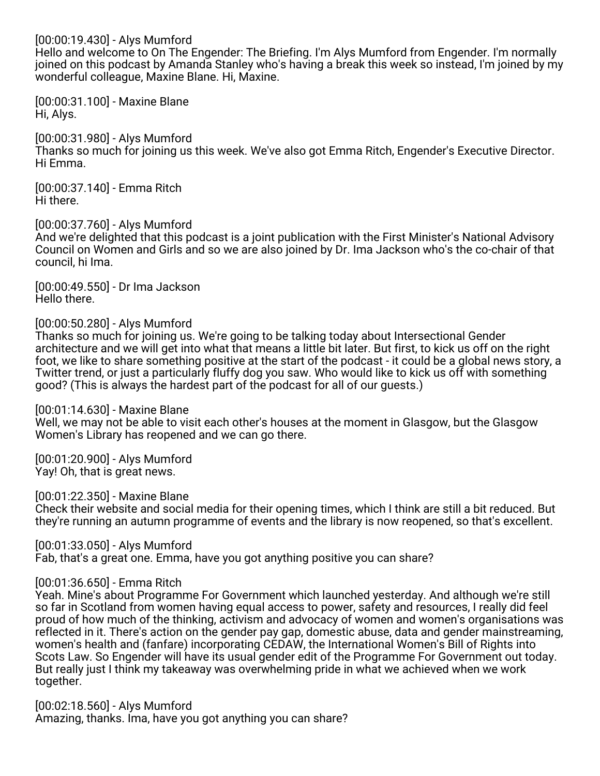### [00:00:19.430] - Alys Mumford

Hello and welcome to On The Engender: The Briefing. I'm Alys Mumford from Engender. I'm normally joined on this podcast by Amanda Stanley who's having a break this week so instead, I'm joined by my wonderful colleague, Maxine Blane. Hi, Maxine.

[00:00:31.100] - Maxine Blane Hi, Alys.

[00:00:31.980] - Alys Mumford Thanks so much for joining us this week. We've also got Emma Ritch, Engender's Executive Director. Hi Emma.

[00:00:37.140] - Emma Ritch Hi there.

[00:00:37.760] - Alys Mumford

And we're delighted that this podcast is a joint publication with the First Minister's National Advisory Council on Women and Girls and so we are also joined by Dr. Ima Jackson who's the co-chair of that council, hi Ima.

[00:00:49.550] - Dr Ima Jackson Hello there.

#### [00:00:50.280] - Alys Mumford

Thanks so much for joining us. We're going to be talking today about Intersectional Gender architecture and we will get into what that means a little bit later. But first, to kick us off on the right foot, we like to share something positive at the start of the podcast - it could be a global news story, a Twitter trend, or just a particularly fluffy dog you saw. Who would like to kick us off with something good? (This is always the hardest part of the podcast for all of our guests.)

[00:01:14.630] - Maxine Blane

Well, we may not be able to visit each other's houses at the moment in Glasgow, but the Glasgow Women's Library has reopened and we can go there.

[00:01:20.900] - Alys Mumford Yay! Oh, that is great news.

[00:01:22.350] - Maxine Blane Check their website and social media for their opening times, which I think are still a bit reduced. But they're running an autumn programme of events and the library is now reopened, so that's excellent.

[00:01:33.050] - Alys Mumford

Fab, that's a great one. Emma, have you got anything positive you can share?

#### [00:01:36.650] - Emma Ritch

Yeah. Mine's about Programme For Government which launched yesterday. And although we're still so far in Scotland from women having equal access to power, safety and resources, I really did feel proud of how much of the thinking, activism and advocacy of women and women's organisations was reflected in it. There's action on the gender pay gap, domestic abuse, data and gender mainstreaming, women's health and (fanfare) incorporating CEDAW, the International Women's Bill of Rights into Scots Law. So Engender will have its usual gender edit of the Programme For Government out today. But really just I think my takeaway was overwhelming pride in what we achieved when we work together.

[00:02:18.560] - Alys Mumford Amazing, thanks. Ima, have you got anything you can share?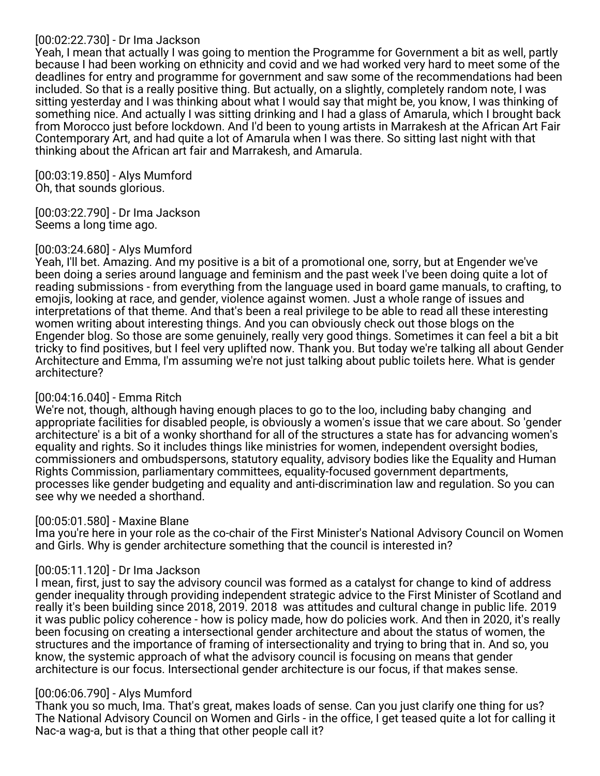# [00:02:22.730] - Dr Ima Jackson

Yeah, I mean that actually I was going to mention the Programme for Government a bit as well, partly because I had been working on ethnicity and covid and we had worked very hard to meet some of the deadlines for entry and programme for government and saw some of the recommendations had been included. So that is a really positive thing. But actually, on a slightly, completely random note, I was sitting yesterday and I was thinking about what I would say that might be, you know, I was thinking of something nice. And actually I was sitting drinking and I had a glass of Amarula, which I brought back from Morocco just before lockdown. And I'd been to young artists in Marrakesh at the African Art Fair Contemporary Art, and had quite a lot of Amarula when I was there. So sitting last night with that thinking about the African art fair and Marrakesh, and Amarula.

[00:03:19.850] - Alys Mumford Oh, that sounds glorious.

[00:03:22.790] - Dr Ima Jackson Seems a long time ago.

# [00:03:24.680] - Alys Mumford

Yeah, I'll bet. Amazing. And my positive is a bit of a promotional one, sorry, but at Engender we've been doing a series around language and feminism and the past week I've been doing quite a lot of reading submissions - from everything from the language used in board game manuals, to crafting, to emojis, looking at race, and gender, violence against women. Just a whole range of issues and interpretations of that theme. And that's been a real privilege to be able to read all these interesting women writing about interesting things. And you can obviously check out those blogs on the Engender blog. So those are some genuinely, really very good things. Sometimes it can feel a bit a bit tricky to find positives, but I feel very uplifted now. Thank you. But today we're talking all about Gender Architecture and Emma, I'm assuming we're not just talking about public toilets here. What is gender architecture?

# [00:04:16.040] - Emma Ritch

We're not, though, although having enough places to go to the loo, including baby changing and appropriate facilities for disabled people, is obviously a women's issue that we care about. So 'gender architecture' is a bit of a wonky shorthand for all of the structures a state has for advancing women's equality and rights. So it includes things like ministries for women, independent oversight bodies, commissioners and ombudspersons, statutory equality, advisory bodies like the Equality and Human Rights Commission, parliamentary committees, equality-focused government departments, processes like gender budgeting and equality and anti-discrimination law and regulation. So you can see why we needed a shorthand.

# [00:05:01.580] - Maxine Blane

Ima you're here in your role as the co-chair of the First Minister's National Advisory Council on Women and Girls. Why is gender architecture something that the council is interested in?

# [00:05:11.120] - Dr Ima Jackson

I mean, first, just to say the advisory council was formed as a catalyst for change to kind of address gender inequality through providing independent strategic advice to the First Minister of Scotland and really it's been building since 2018, 2019. 2018 was attitudes and cultural change in public life. 2019 it was public policy coherence - how is policy made, how do policies work. And then in 2020, it's really been focusing on creating a intersectional gender architecture and about the status of women, the structures and the importance of framing of intersectionality and trying to bring that in. And so, you know, the systemic approach of what the advisory council is focusing on means that gender architecture is our focus. Intersectional gender architecture is our focus, if that makes sense.

# [00:06:06.790] - Alys Mumford

Thank you so much, Ima. That's great, makes loads of sense. Can you just clarify one thing for us? The National Advisory Council on Women and Girls - in the office, I get teased quite a lot for calling it Nac-a wag-a, but is that a thing that other people call it?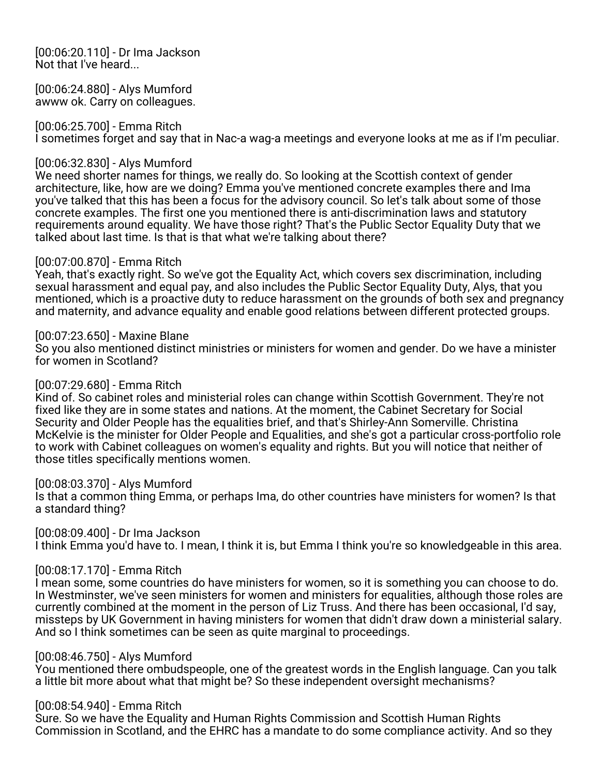[00:06:20.110] - Dr Ima Jackson Not that I've heard...

[00:06:24.880] - Alys Mumford awww ok. Carry on colleagues.

[00:06:25.700] - Emma Ritch I sometimes forget and say that in Nac-a wag-a meetings and everyone looks at me as if I'm peculiar.

# [00:06:32.830] - Alys Mumford

We need shorter names for things, we really do. So looking at the Scottish context of gender architecture, like, how are we doing? Emma you've mentioned concrete examples there and Ima you've talked that this has been a focus for the advisory council. So let's talk about some of those concrete examples. The first one you mentioned there is anti-discrimination laws and statutory requirements around equality. We have those right? That's the Public Sector Equality Duty that we talked about last time. Is that is that what we're talking about there?

# [00:07:00.870] - Emma Ritch

Yeah, that's exactly right. So we've got the Equality Act, which covers sex discrimination, including sexual harassment and equal pay, and also includes the Public Sector Equality Duty, Alys, that you mentioned, which is a proactive duty to reduce harassment on the grounds of both sex and pregnancy and maternity, and advance equality and enable good relations between different protected groups.

# [00:07:23.650] - Maxine Blane

So you also mentioned distinct ministries or ministers for women and gender. Do we have a minister for women in Scotland?

### [00:07:29.680] - Emma Ritch

Kind of. So cabinet roles and ministerial roles can change within Scottish Government. They're not fixed like they are in some states and nations. At the moment, the Cabinet Secretary for Social Security and Older People has the equalities brief, and that's Shirley-Ann Somerville. Christina McKelvie is the minister for Older People and Equalities, and she's got a particular cross-portfolio role to work with Cabinet colleagues on women's equality and rights. But you will notice that neither of those titles specifically mentions women.

# [00:08:03.370] - Alys Mumford

Is that a common thing Emma, or perhaps Ima, do other countries have ministers for women? Is that a standard thing?

[00:08:09.400] - Dr Ima Jackson

I think Emma you'd have to. I mean, I think it is, but Emma I think you're so knowledgeable in this area.

# [00:08:17.170] - Emma Ritch

I mean some, some countries do have ministers for women, so it is something you can choose to do. In Westminster, we've seen ministers for women and ministers for equalities, although those roles are currently combined at the moment in the person of Liz Truss. And there has been occasional, I'd say, missteps by UK Government in having ministers for women that didn't draw down a ministerial salary. And so I think sometimes can be seen as quite marginal to proceedings.

# [00:08:46.750] - Alys Mumford

You mentioned there ombudspeople, one of the greatest words in the English language. Can you talk a little bit more about what that might be? So these independent oversight mechanisms?

# [00:08:54.940] - Emma Ritch

Sure. So we have the Equality and Human Rights Commission and Scottish Human Rights Commission in Scotland, and the EHRC has a mandate to do some compliance activity. And so they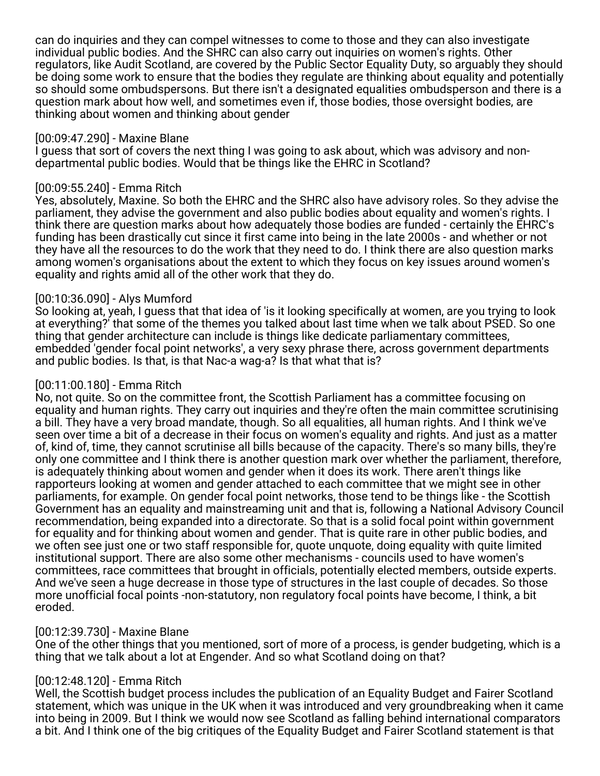can do inquiries and they can compel witnesses to come to those and they can also investigate individual public bodies. And the SHRC can also carry out inquiries on women's rights. Other regulators, like Audit Scotland, are covered by the Public Sector Equality Duty, so arguably they should be doing some work to ensure that the bodies they regulate are thinking about equality and potentially so should some ombudspersons. But there isn't a designated equalities ombudsperson and there is a question mark about how well, and sometimes even if, those bodies, those oversight bodies, are thinking about women and thinking about gender

### [00:09:47.290] - Maxine Blane

I guess that sort of covers the next thing I was going to ask about, which was advisory and nondepartmental public bodies. Would that be things like the EHRC in Scotland?

### [00:09:55.240] - Emma Ritch

Yes, absolutely, Maxine. So both the EHRC and the SHRC also have advisory roles. So they advise the parliament, they advise the government and also public bodies about equality and women's rights. I think there are question marks about how adequately those bodies are funded - certainly the EHRC's funding has been drastically cut since it first came into being in the late 2000s - and whether or not they have all the resources to do the work that they need to do. I think there are also question marks among women's organisations about the extent to which they focus on key issues around women's equality and rights amid all of the other work that they do.

# [00:10:36.090] - Alys Mumford

So looking at, yeah, I guess that that idea of 'is it looking specifically at women, are you trying to look at everything?' that some of the themes you talked about last time when we talk about PSED. So one thing that gender architecture can include is things like dedicate parliamentary committees, embedded 'gender focal point networks', a very sexy phrase there, across government departments and public bodies. Is that, is that Nac-a wag-a? Is that what that is?

### [00:11:00.180] - Emma Ritch

No, not quite. So on the committee front, the Scottish Parliament has a committee focusing on equality and human rights. They carry out inquiries and they're often the main committee scrutinising a bill. They have a very broad mandate, though. So all equalities, all human rights. And I think we've seen over time a bit of a decrease in their focus on women's equality and rights. And just as a matter of, kind of, time, they cannot scrutinise all bills because of the capacity. There's so many bills, they're only one committee and I think there is another question mark over whether the parliament, therefore, is adequately thinking about women and gender when it does its work. There aren't things like rapporteurs looking at women and gender attached to each committee that we might see in other parliaments, for example. On gender focal point networks, those tend to be things like - the Scottish Government has an equality and mainstreaming unit and that is, following a National Advisory Council recommendation, being expanded into a directorate. So that is a solid focal point within government for equality and for thinking about women and gender. That is quite rare in other public bodies, and we often see just one or two staff responsible for, quote unquote, doing equality with quite limited institutional support. There are also some other mechanisms - councils used to have women's committees, race committees that brought in officials, potentially elected members, outside experts. And we've seen a huge decrease in those type of structures in the last couple of decades. So those more unofficial focal points -non-statutory, non regulatory focal points have become, I think, a bit eroded.

# [00:12:39.730] - Maxine Blane

One of the other things that you mentioned, sort of more of a process, is gender budgeting, which is a thing that we talk about a lot at Engender. And so what Scotland doing on that?

# [00:12:48.120] - Emma Ritch

Well, the Scottish budget process includes the publication of an Equality Budget and Fairer Scotland statement, which was unique in the UK when it was introduced and very groundbreaking when it came into being in 2009. But I think we would now see Scotland as falling behind international comparators a bit. And I think one of the big critiques of the Equality Budget and Fairer Scotland statement is that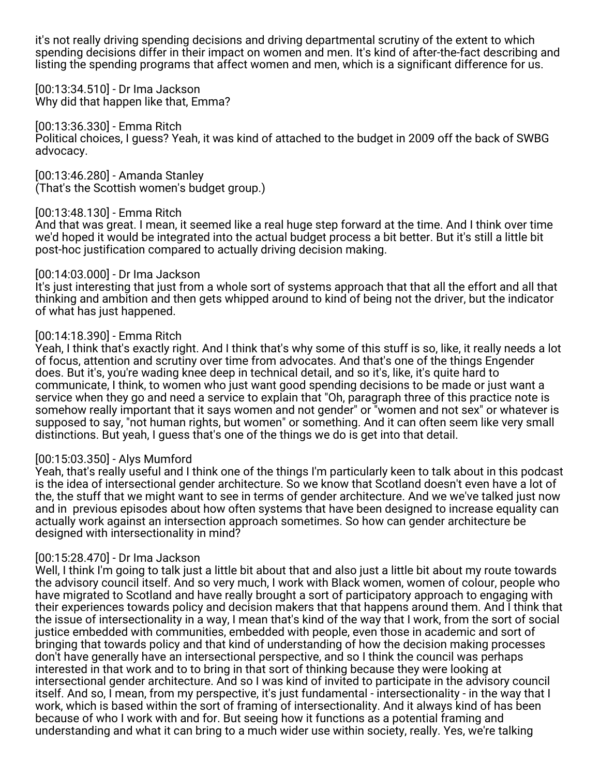it's not really driving spending decisions and driving departmental scrutiny of the extent to which spending decisions differ in their impact on women and men. It's kind of after-the-fact describing and listing the spending programs that affect women and men, which is a significant difference for us.

[00:13:34.510] - Dr Ima Jackson Why did that happen like that, Emma?

[00:13:36.330] - Emma Ritch Political choices, I guess? Yeah, it was kind of attached to the budget in 2009 off the back of SWBG advocacy.

[00:13:46.280] - Amanda Stanley (That's the Scottish women's budget group.)

### [00:13:48.130] - Emma Ritch

And that was great. I mean, it seemed like a real huge step forward at the time. And I think over time we'd hoped it would be integrated into the actual budget process a bit better. But it's still a little bit post-hoc justification compared to actually driving decision making.

### [00:14:03.000] - Dr Ima Jackson

It's just interesting that just from a whole sort of systems approach that that all the effort and all that thinking and ambition and then gets whipped around to kind of being not the driver, but the indicator of what has just happened.

# [00:14:18.390] - Emma Ritch

Yeah, I think that's exactly right. And I think that's why some of this stuff is so, like, it really needs a lot of focus, attention and scrutiny over time from advocates. And that's one of the things Engender does. But it's, you're wading knee deep in technical detail, and so it's, like, it's quite hard to communicate, I think, to women who just want good spending decisions to be made or just want a service when they go and need a service to explain that "Oh, paragraph three of this practice note is somehow really important that it says women and not gender" or "women and not sex" or whatever is supposed to say, "not human rights, but women" or something. And it can often seem like very small distinctions. But yeah, I guess that's one of the things we do is get into that detail.

#### [00:15:03.350] - Alys Mumford

Yeah, that's really useful and I think one of the things I'm particularly keen to talk about in this podcast is the idea of intersectional gender architecture. So we know that Scotland doesn't even have a lot of the, the stuff that we might want to see in terms of gender architecture. And we we've talked just now and in previous episodes about how often systems that have been designed to increase equality can actually work against an intersection approach sometimes. So how can gender architecture be designed with intersectionality in mind?

#### [00:15:28.470] - Dr Ima Jackson

Well, I think I'm going to talk just a little bit about that and also just a little bit about my route towards the advisory council itself. And so very much, I work with Black women, women of colour, people who have migrated to Scotland and have really brought a sort of participatory approach to engaging with their experiences towards policy and decision makers that that happens around them. And I think that the issue of intersectionality in a way, I mean that's kind of the way that I work, from the sort of social justice embedded with communities, embedded with people, even those in academic and sort of bringing that towards policy and that kind of understanding of how the decision making processes don't have generally have an intersectional perspective, and so I think the council was perhaps interested in that work and to to bring in that sort of thinking because they were looking at intersectional gender architecture. And so I was kind of invited to participate in the advisory council itself. And so, I mean, from my perspective, it's just fundamental - intersectionality - in the way that I work, which is based within the sort of framing of intersectionality. And it always kind of has been because of who I work with and for. But seeing how it functions as a potential framing and understanding and what it can bring to a much wider use within society, really. Yes, we're talking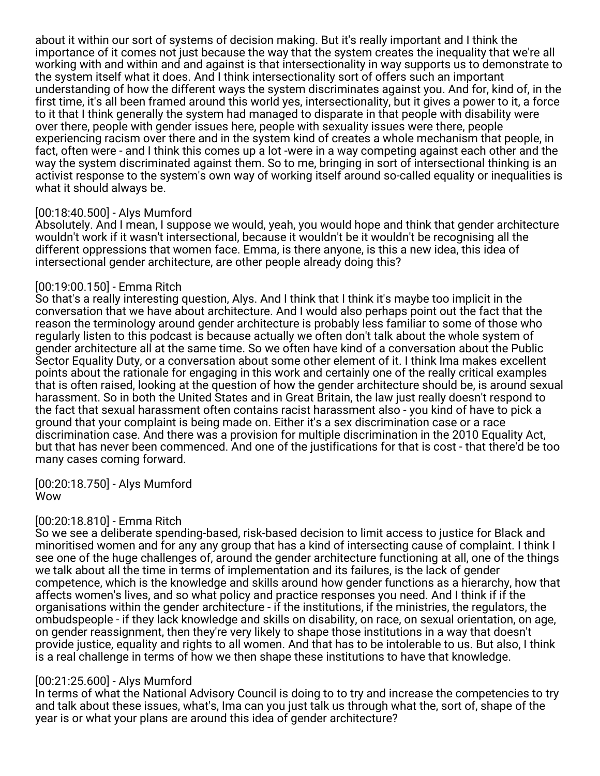about it within our sort of systems of decision making. But it's really important and I think the importance of it comes not just because the way that the system creates the inequality that we're all working with and within and and against is that intersectionality in way supports us to demonstrate to the system itself what it does. And I think intersectionality sort of offers such an important understanding of how the different ways the system discriminates against you. And for, kind of, in the first time, it's all been framed around this world yes, intersectionality, but it gives a power to it, a force to it that I think generally the system had managed to disparate in that people with disability were over there, people with gender issues here, people with sexuality issues were there, people experiencing racism over there and in the system kind of creates a whole mechanism that people, in fact, often were - and I think this comes up a lot -were in a way competing against each other and the way the system discriminated against them. So to me, bringing in sort of intersectional thinking is an activist response to the system's own way of working itself around so-called equality or inequalities is what it should always be.

# [00:18:40.500] - Alys Mumford

Absolutely. And I mean, I suppose we would, yeah, you would hope and think that gender architecture wouldn't work if it wasn't intersectional, because it wouldn't be it wouldn't be recognising all the different oppressions that women face. Emma, is there anyone, is this a new idea, this idea of intersectional gender architecture, are other people already doing this?

#### [00:19:00.150] - Emma Ritch

So that's a really interesting question, Alys. And I think that I think it's maybe too implicit in the conversation that we have about architecture. And I would also perhaps point out the fact that the reason the terminology around gender architecture is probably less familiar to some of those who regularly listen to this podcast is because actually we often don't talk about the whole system of gender architecture all at the same time. So we often have kind of a conversation about the Public Sector Equality Duty, or a conversation about some other element of it. I think Ima makes excellent points about the rationale for engaging in this work and certainly one of the really critical examples that is often raised, looking at the question of how the gender architecture should be, is around sexual harassment. So in both the United States and in Great Britain, the law just really doesn't respond to the fact that sexual harassment often contains racist harassment also - you kind of have to pick a ground that your complaint is being made on. Either it's a sex discrimination case or a race discrimination case. And there was a provision for multiple discrimination in the 2010 Equality Act, but that has never been commenced. And one of the justifications for that is cost - that there'd be too many cases coming forward.

[00:20:18.750] - Alys Mumford Wow

# [00:20:18.810] - Emma Ritch

So we see a deliberate spending-based, risk-based decision to limit access to justice for Black and minoritised women and for any any group that has a kind of intersecting cause of complaint. I think I see one of the huge challenges of, around the gender architecture functioning at all, one of the things we talk about all the time in terms of implementation and its failures, is the lack of gender competence, which is the knowledge and skills around how gender functions as a hierarchy, how that affects women's lives, and so what policy and practice responses you need. And I think if if the organisations within the gender architecture - if the institutions, if the ministries, the regulators, the ombudspeople - if they lack knowledge and skills on disability, on race, on sexual orientation, on age, on gender reassignment, then they're very likely to shape those institutions in a way that doesn't provide justice, equality and rights to all women. And that has to be intolerable to us. But also, I think is a real challenge in terms of how we then shape these institutions to have that knowledge.

#### [00:21:25.600] - Alys Mumford

In terms of what the National Advisory Council is doing to to try and increase the competencies to try and talk about these issues, what's, Ima can you just talk us through what the, sort of, shape of the year is or what your plans are around this idea of gender architecture?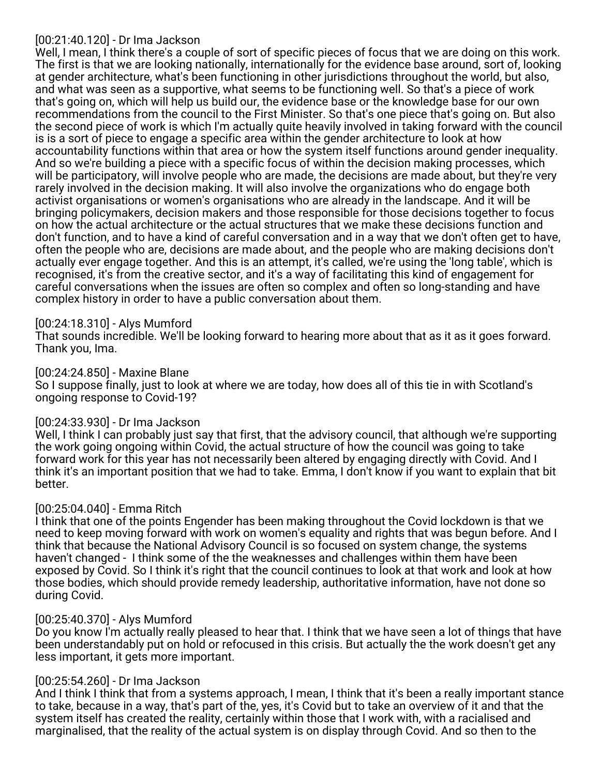### [00:21:40.120] - Dr Ima Jackson

Well, I mean, I think there's a couple of sort of specific pieces of focus that we are doing on this work. The first is that we are looking nationally, internationally for the evidence base around, sort of, looking at gender architecture, what's been functioning in other jurisdictions throughout the world, but also, and what was seen as a supportive, what seems to be functioning well. So that's a piece of work that's going on, which will help us build our, the evidence base or the knowledge base for our own recommendations from the council to the First Minister. So that's one piece that's going on. But also the second piece of work is which I'm actually quite heavily involved in taking forward with the council is is a sort of piece to engage a specific area within the gender architecture to look at how accountability functions within that area or how the system itself functions around gender inequality. And so we're building a piece with a specific focus of within the decision making processes, which will be participatory, will involve people who are made, the decisions are made about, but they're very rarely involved in the decision making. It will also involve the organizations who do engage both activist organisations or women's organisations who are already in the landscape. And it will be bringing policymakers, decision makers and those responsible for those decisions together to focus on how the actual architecture or the actual structures that we make these decisions function and don't function, and to have a kind of careful conversation and in a way that we don't often get to have, often the people who are, decisions are made about, and the people who are making decisions don't actually ever engage together. And this is an attempt, it's called, we're using the 'long table', which is recognised, it's from the creative sector, and it's a way of facilitating this kind of engagement for careful conversations when the issues are often so complex and often so long-standing and have complex history in order to have a public conversation about them.

# [00:24:18.310] - Alys Mumford

That sounds incredible. We'll be looking forward to hearing more about that as it as it goes forward. Thank you, Ima.

[00:24:24.850] - Maxine Blane So I suppose finally, just to look at where we are today, how does all of this tie in with Scotland's ongoing response to Covid-19?

# [00:24:33.930] - Dr Ima Jackson

Well, I think I can probably just say that first, that the advisory council, that although we're supporting the work going ongoing within Covid, the actual structure of how the council was going to take forward work for this year has not necessarily been altered by engaging directly with Covid. And I think it's an important position that we had to take. Emma, I don't know if you want to explain that bit better.

# [00:25:04.040] - Emma Ritch

I think that one of the points Engender has been making throughout the Covid lockdown is that we need to keep moving forward with work on women's equality and rights that was begun before. And I think that because the National Advisory Council is so focused on system change, the systems haven't changed - I think some of the the weaknesses and challenges within them have been exposed by Covid. So I think it's right that the council continues to look at that work and look at how those bodies, which should provide remedy leadership, authoritative information, have not done so during Covid.

# [00:25:40.370] - Alys Mumford

Do you know I'm actually really pleased to hear that. I think that we have seen a lot of things that have been understandably put on hold or refocused in this crisis. But actually the the work doesn't get any less important, it gets more important.

# [00:25:54.260] - Dr Ima Jackson

And I think I think that from a systems approach, I mean, I think that it's been a really important stance to take, because in a way, that's part of the, yes, it's Covid but to take an overview of it and that the system itself has created the reality, certainly within those that I work with, with a racialised and marginalised, that the reality of the actual system is on display through Covid. And so then to the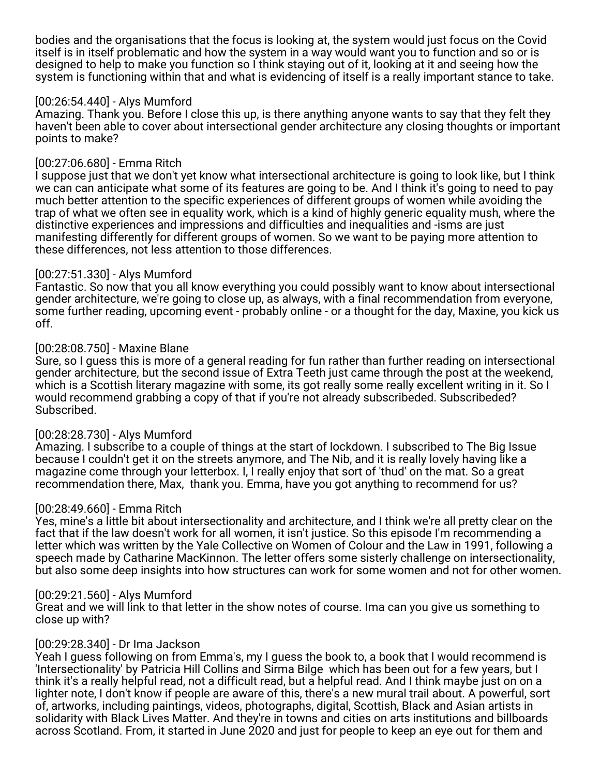bodies and the organisations that the focus is looking at, the system would just focus on the Covid itself is in itself problematic and how the system in a way would want you to function and so or is designed to help to make you function so I think staying out of it, looking at it and seeing how the system is functioning within that and what is evidencing of itself is a really important stance to take.

### [00:26:54.440] - Alys Mumford

Amazing. Thank you. Before I close this up, is there anything anyone wants to say that they felt they haven't been able to cover about intersectional gender architecture any closing thoughts or important points to make?

### [00:27:06.680] - Emma Ritch

I suppose just that we don't yet know what intersectional architecture is going to look like, but I think we can can anticipate what some of its features are going to be. And I think it's going to need to pay much better attention to the specific experiences of different groups of women while avoiding the trap of what we often see in equality work, which is a kind of highly generic equality mush, where the distinctive experiences and impressions and difficulties and inequalities and -isms are just manifesting differently for different groups of women. So we want to be paying more attention to these differences, not less attention to those differences.

### [00:27:51.330] - Alys Mumford

Fantastic. So now that you all know everything you could possibly want to know about intersectional gender architecture, we're going to close up, as always, with a final recommendation from everyone, some further reading, upcoming event - probably online - or a thought for the day, Maxine, you kick us off.

### [00:28:08.750] - Maxine Blane

Sure, so I guess this is more of a general reading for fun rather than further reading on intersectional gender architecture, but the second issue of Extra Teeth just came through the post at the weekend, which is a Scottish literary magazine with some, its got really some really excellent writing in it. So I would recommend grabbing a copy of that if you're not already subscribeded. Subscribeded? Subscribed.

# [00:28:28.730] - Alys Mumford

Amazing. I subscribe to a couple of things at the start of lockdown. I subscribed to The Big Issue because I couldn't get it on the streets anymore, and The Nib, and it is really lovely having like a magazine come through your letterbox. I, I really enjoy that sort of 'thud' on the mat. So a great recommendation there, Max, thank you. Emma, have you got anything to recommend for us?

#### [00:28:49.660] - Emma Ritch

Yes, mine's a little bit about intersectionality and architecture, and I think we're all pretty clear on the fact that if the law doesn't work for all women, it isn't justice. So this episode I'm recommending a letter which was written by the Yale Collective on Women of Colour and the Law in 1991, following a speech made by Catharine MacKinnon. The letter offers some sisterly challenge on intersectionality, but also some deep insights into how structures can work for some women and not for other women.

#### [00:29:21.560] - Alys Mumford

Great and we will link to that letter in the show notes of course. Ima can you give us something to close up with?

#### [00:29:28.340] - Dr Ima Jackson

Yeah I guess following on from Emma's, my I guess the book to, a book that I would recommend is 'Intersectionality' by Patricia Hill Collins and Sirma Bilge which has been out for a few years, but I think it's a really helpful read, not a difficult read, but a helpful read. And I think maybe just on on a lighter note, I don't know if people are aware of this, there's a new mural trail about. A powerful, sort of, artworks, including paintings, videos, photographs, digital, Scottish, Black and Asian artists in solidarity with Black Lives Matter. And they're in towns and cities on arts institutions and billboards across Scotland. From, it started in June 2020 and just for people to keep an eye out for them and